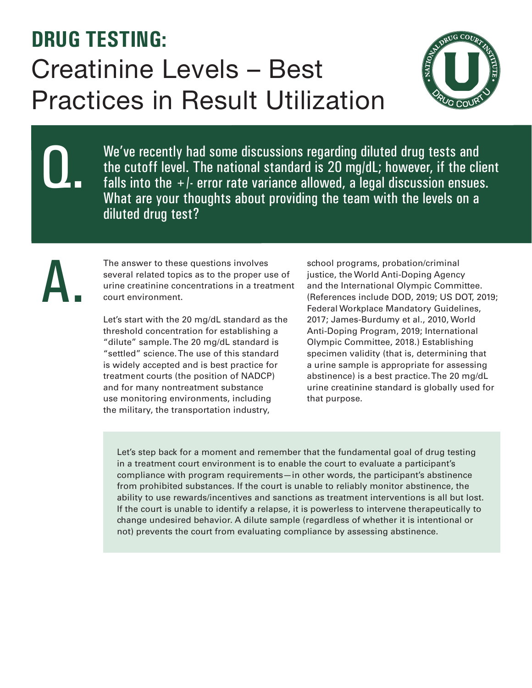## **DRUG TESTING:**  Creatinine Levels – Best Practices in Result Utilization



We've recently had some discussions regarding diluted drug tests and the cutoff level. The national standard is 20 mg/dL; however, if the client falls into the  $+/-$  error rate variance allowed, a legal discussion ensues. What are your thoughts about providing the team with the levels on a diluted drug test?

The answer to these questions involves several related topics as to the proper use of urine creatinine concentrations in a treatment court environment.

Q.

A.

Let's start with the 20 mg/dL standard as the threshold concentration for establishing a "dilute" sample. The 20 mg/dL standard is "settled" science. The use of this standard is widely accepted and is best practice for treatment courts (the position of NADCP) and for many nontreatment substance use monitoring environments, including the military, the transportation industry,

school programs, probation/criminal justice, the World Anti-Doping Agency and the International Olympic Committee. (References include DOD, 2019; US DOT, 2019; Federal Workplace Mandatory Guidelines, 2017; James-Burdumy et al., 2010, World Anti-Doping Program, 2019; International Olympic Committee, 2018.) Establishing specimen validity (that is, determining that a urine sample is appropriate for assessing abstinence) is a best practice. The 20 mg/dL urine creatinine standard is globally used for that purpose.

Let's step back for a moment and remember that the fundamental goal of drug testing in a treatment court environment is to enable the court to evaluate a participant's compliance with program requirements—in other words, the participant's abstinence from prohibited substances. If the court is unable to reliably monitor abstinence, the ability to use rewards/incentives and sanctions as treatment interventions is all but lost. If the court is unable to identify a relapse, it is powerless to intervene therapeutically to change undesired behavior. A dilute sample (regardless of whether it is intentional or not) prevents the court from evaluating compliance by assessing abstinence.